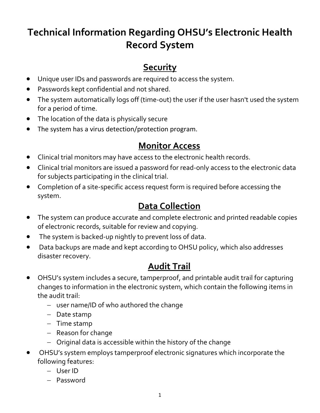# **Technical Information Regarding OHSU's Electronic Health Record System**

### **Security**

- Unique user IDs and passwords are required to access the system.
- Passwords kept confidential and not shared.
- The system automatically logs off (time‐out) the user if the user hasn't used the system for a period of time.
- The location of the data is physically secure
- The system has a virus detection/protection program.

#### **Monitor Access**

- Clinical trial monitors may have access to the electronic health records.
- Clinical trial monitors are issued a password for read‐only access to the electronic data for subjects participating in the clinical trial.
- Completion of a site‐specific access request form is required before accessing the system.

### **Data Collection**

- The system can produce accurate and complete electronic and printed readable copies of electronic records, suitable for review and copying.
- The system is backed‐up nightly to prevent loss of data.
- Data backups are made and kept according to OHSU policy, which also addresses disaster recovery.

#### **Audit Trail**

- OHSU's system includes a secure, tamperproof, and printable audit trail for capturing changes to information in the electronic system, which contain the following items in the audit trail:
	- − user name/ID of who authored the change
	- − Date stamp
	- − Time stamp
	- − Reason for change
	- − Original data is accessible within the history of the change
- OHSU's system employs tamperproof electronic signatures which incorporate the following features:
	- − User ID
	- − Password